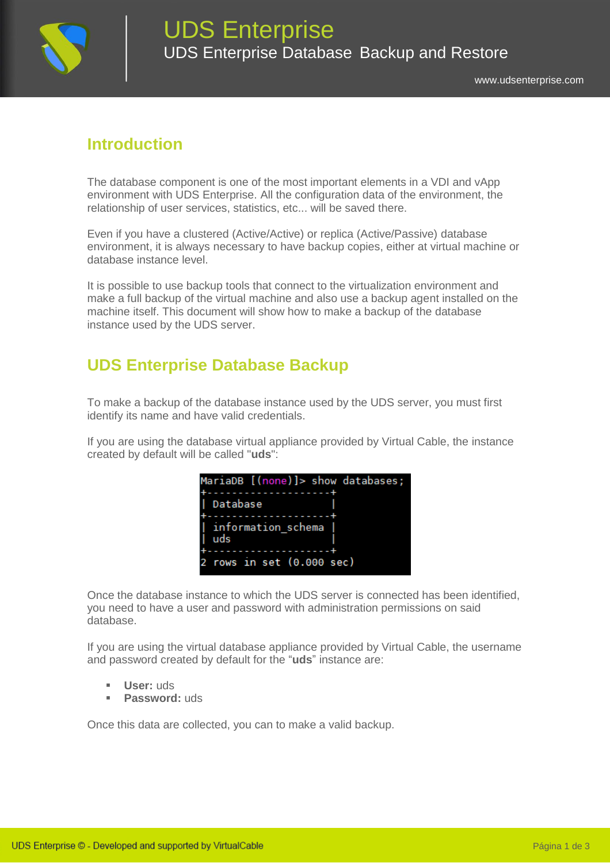

## **Introduction**

The database component is one of the most important elements in a VDI and vApp environment with UDS Enterprise. All the configuration data of the environment, the relationship of user services, statistics, etc... will be saved there.

Even if you have a clustered (Active/Active) or replica (Active/Passive) database environment, it is always necessary to have backup copies, either at virtual machine or database instance level.

It is possible to use backup tools that connect to the virtualization environment and make a full backup of the virtual machine and also use a backup agent installed on the machine itself. This document will show how to make a backup of the database instance used by the UDS server.

## **UDS Enterprise Database Backup**

To make a backup of the database instance used by the UDS server, you must first identify its name and have valid credentials.

If you are using the database virtual appliance provided by Virtual Cable, the instance created by default will be called "**uds**":



Once the database instance to which the UDS server is connected has been identified, you need to have a user and password with administration permissions on said database.

If you are using the virtual database appliance provided by Virtual Cable, the username and password created by default for the "**uds**" instance are:

- **User:** uds
- **Password:** uds

Once this data are collected, you can to make a valid backup.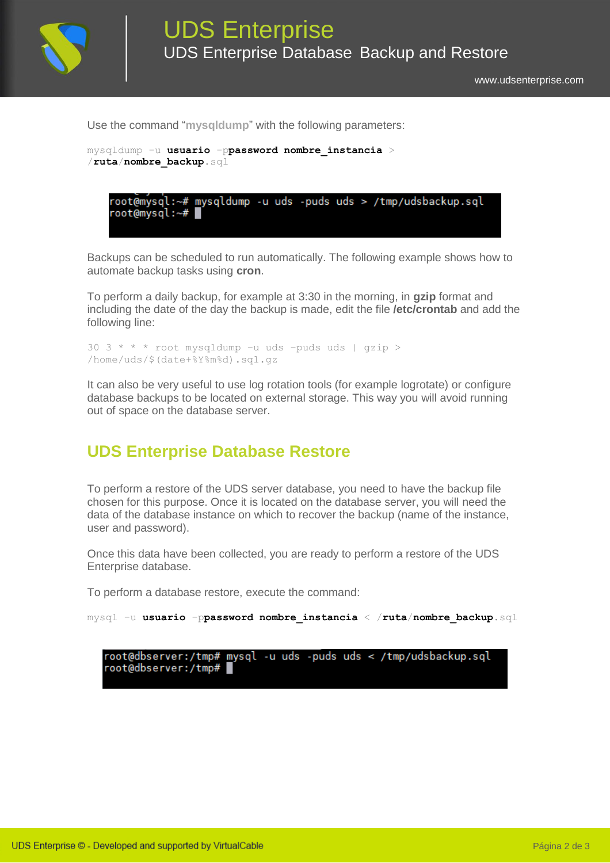

[www.udsenterprise.com](http://www.udsenterprise.com/)

Use the command "**mysqldump**" with the following parameters:



Backups can be scheduled to run automatically. The following example shows how to automate backup tasks using **cron**.

To perform a daily backup, for example at 3:30 in the morning, in **gzip** format and including the date of the day the backup is made, edit the file **/etc/crontab** and add the following line:

```
30 3 * * * root mysqldump –u uds –puds uds | gzip > 
/home/uds/$(date+%Y%m%d).sql.gz
```
It can also be very useful to use log rotation tools (for example logrotate) or configure database backups to be located on external storage. This way you will avoid running out of space on the database server.

## **UDS Enterprise Database Restore**

To perform a restore of the UDS server database, you need to have the backup file chosen for this purpose. Once it is located on the database server, you will need the data of the database instance on which to recover the backup (name of the instance, user and password).

Once this data have been collected, you are ready to perform a restore of the UDS Enterprise database.

To perform a database restore, execute the command:

```
mysql –u usuario –ppassword nombre_instancia < /ruta/nombre_backup.sql
```
root@dbserver:/tmp# mysql -u uds -puds uds < /tmp/udsbackup.sql root@dbserver:/tmp#